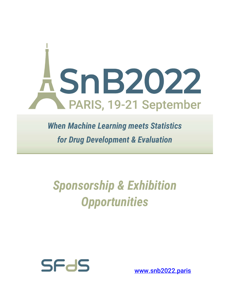

When Machine Learning meets Statistics for Drug Development & Evaluation

# Sponsorship & Exhibition **Opportunities**



www.snb2022.paris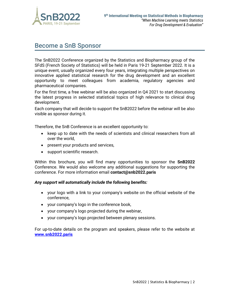

## Become a SnB Sponsor

The SnB2022 Conference organized by the Statistics and Biopharmacy group of the SFdS (French Society of Statistics) will be held in Paris 19-21 September 2022. It is a unique event, usually organized every four years, integrating multiple perspectives on innovative applied statistical research for the drug development and an excellent opportunity to meet colleagues from academia, regulatory agencies and pharmaceutical companies.

For the first time, a free webinar will be also organized in Q4 2021 to start discussing the latest progress in selected statistical topics of high relevance to clinical drug development.

Each company that will decide to support the SnB2022 before the webinar will be also visible as sponsor during it.

Therefore, the SnB Conference is an excellent opportunity to:

- keep up to date with the needs of scientists and clinical researchers from all over the world,
- present your products and services,
- support scientific research.

Within this brochure, you will find many opportunities to sponsor the **SnB2022** Conference. We would also welcome any additional suggestions for supporting the conference. For more information email contact@snb2022.paris

#### Any support will automatically include the following benefits:

- your logo with a link to your company's website on the official website of the conference,
- your company's logo in the conference book,
- your company's logo projected during the webinar,
- your company's logo projected between plenary sessions.

For up-to-date details on the program and speakers, please refer to the website at www.snb2022.paris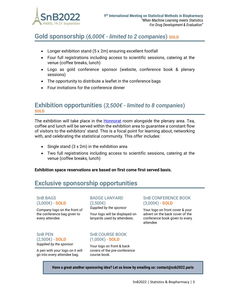

## Gold sponsorship  $(6,000 \epsilon$  - limited to 2 companies) sold

- Longer exhibition stand (5 x 2m) ensuring excellent footfall
- Four full registrations including access to scientific sessions, catering at the venue (coffee breaks, lunch)
- Logo as gold conference sponsor (website, conference book & plenary sessions)
- The opportunity to distribute a leaflet in the conference bags
- Four invitations for the conference dinner

### Exhibition opportunities  $(3,500\epsilon$  - limited to 8 companies) **SOLD**

The exhibition will take place in the **Honnorat** room alongside the plenary area. Tea, coffee and lunch will be served within the exhibition area to guarantee a constant flow of visitors to the exhibitors' stand. This is a focal point for learning about, networking with, and celebrating the statistical community. This offer includes:

- Single stand  $(3 \times 2m)$  in the exhibition area
- Two full registrations including access to scientific sessions, catering at the venue (coffee breaks, lunch)

Exhibition space reservations are based on first come first served basis.

## Exclusive sponsorship opportunities

#### SnB BAGS  $(3.000€) - SOLD$

Company logo on the front of the conference bag given to every attendee.

BADGE LANYARD (2,500€) Supplied by the sponsor

Your logo will be displayed on lanyards used by attendees.

#### SnB CONFERENCE BOOK  $(3.000€) - SOLD$

Your logo on front cover & your advert on the back cover of the conference book given to every attendee

#### SnB PEN  $(2,500€) -$ **SOLD** Supplied by the sponsor

A pen with your logo on it will go into every attendee bag.

#### SnB COURSE BOOK  $(1,000€) -$ **SOLD**

Your logo on front & back covers of the pre-conference course book.

Have a great another sponsoring idea? Let us know by emailing us: contact@snb2022.paris